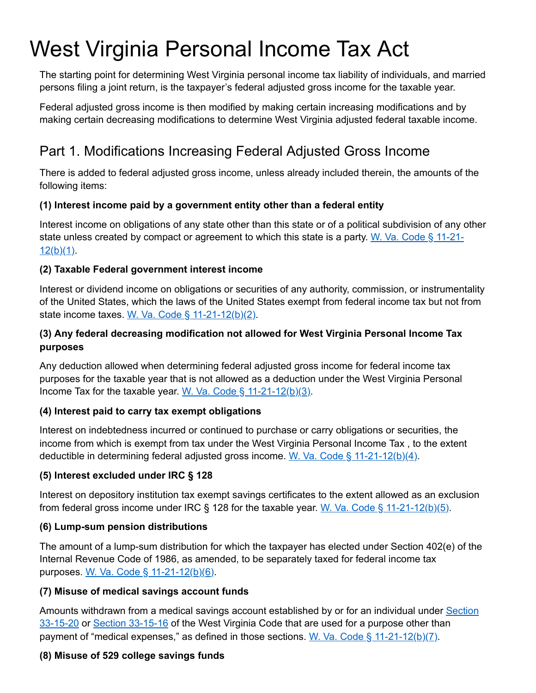# West Virginia Personal Income Tax Act

The starting point for determining West Virginia personal income tax liability of individuals, and married persons filing a joint return, is the taxpayer's federal adjusted gross income for the taxable year.

Federal adjusted gross income is then modified by making certain increasing modifications and by making certain decreasing modifications to determine West Virginia adjusted federal taxable income.

# Part 1. Modifications Increasing Federal Adjusted Gross Income

There is added to federal adjusted gross income, unless already included therein, the amounts of the following items:

#### **(1) Interest income paid by a government entity other than a federal entity**

Interest income on obligations of any state other than this state or of a political subdivision of any other [state unless created by compact or agreement to which this state is a party.](http://www.wvlegislature.gov/wvcode/ChapterEntire.cfm?chap=11&art=21§ion=12) W. Va. Code § 11-21- $12(b)(1)$ .

#### **(2) Taxable Federal government interest income**

Interest or dividend income on obligations or securities of any authority, commission, or instrumentality of the United States, which the laws of the United States exempt from federal income tax but not from state income taxes. W. Va. Code  $\S$  11-21-12(b)(2).

#### **(3) Any federal decreasing modification not allowed for West Virginia Personal Income Tax purposes**

Any deduction allowed when determining federal adjusted gross income for federal income tax purposes for the taxable year that is not allowed as a deduction under the West Virginia Personal Income Tax for the taxable year. W. Va. Code  $\S$  11-21-12(b)(3).

#### **(4) Interest paid to carry tax exempt obligations**

Interest on indebtedness incurred or continued to purchase or carry obligations or securities, the income from which is exempt from tax under the West Virginia Personal Income Tax , to the extent deductible in determining federal adjusted gross income. W. Va. Code  $\S$  11-21-12(b)(4).

#### **(5) Interest excluded under IRC § 128**

Interest on depository institution tax exempt savings certificates to the extent allowed as an exclusion from federal gross income under IRC  $\S$  128 for the taxable year. W. Va. Code  $\S$  11-21-12(b)(5).

#### **(6) Lump-sum pension distributions**

The amount of a lump-sum distribution for which the taxpayer has elected under Section 402(e) of the Internal Revenue Code of 1986, as amended, to be separately taxed for federal income tax purposes. [W. Va. Code § 11-21-12\(b\)\(6\)](http://www.wvlegislature.gov/wvcode/ChapterEntire.cfm?chap=11&art=21§ion=12).

#### **(7) Misuse of medical savings account funds**

[Amounts withdrawn from a medical savings account established by or for an individual under](http://www.wvlegislature.gov/wvcode/chapterentire.cfm?chap=33&art=15§ion=20) Section 33-15-20 or [Section 33-15-16](http://www.wvlegislature.gov/wvcode/chapterentire.cfm?chap=33&art=15§ion=16) of the West Virginia Code that are used for a purpose other than payment of "medical expenses," as defined in those sections. W. Va. Code  $\S$  11-21-12(b)(7).

#### **(8) Misuse of 529 college savings funds**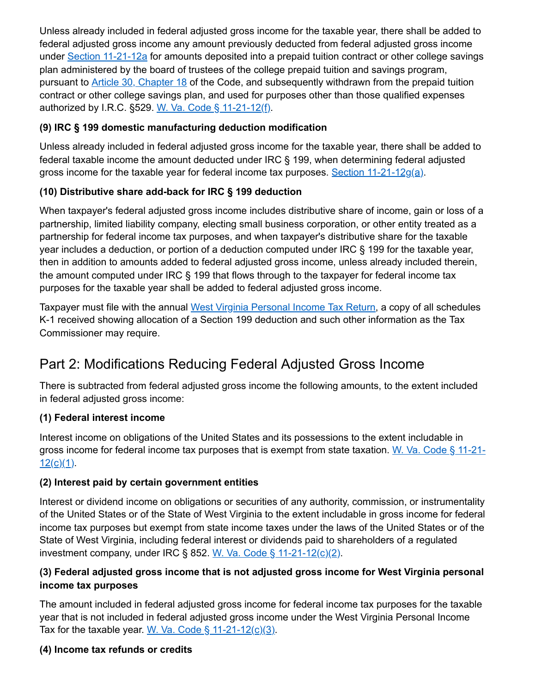Unless already included in federal adjusted gross income for the taxable year, there shall be added to federal adjusted gross income any amount previously deducted from federal adjusted gross income under [Section 11-21-12a](http://www.wvlegislature.gov/wvcode/ChapterEntire.cfm?chap=11&art=21§ion=12) for amounts deposited into a prepaid tuition contract or other college savings plan administered by the board of trustees of the college prepaid tuition and savings program, pursuant to **[Article 30, Chapter 18](http://www.wvlegislature.gov/wvcode/code.cfm?chap=18&art=30)** of the Code, and subsequently withdrawn from the prepaid tuition contract or other college savings plan, and used for purposes other than those qualified expenses authorized by I.R.C. §529. [W. Va. Code § 11-21-12\(f\).](http://www.wvlegislature.gov/wvcode/ChapterEntire.cfm?chap=11&art=21§ion=12)

#### **(9) IRC § 199 domestic manufacturing deduction modification**

Unless already included in federal adjusted gross income for the taxable year, there shall be added to federal taxable income the amount deducted under IRC § 199, when determining federal adjusted gross income for the taxable year for federal income tax purposes. [Section 11-21-12g\(a\).](http://www.wvlegislature.gov/wvcode/ChapterEntire.cfm?chap=11&art=21§ion=12)

# **(10) Distributive share add-back for IRC § 199 deduction**

When taxpayer's federal adjusted gross income includes distributive share of income, gain or loss of a partnership, limited liability company, electing small business corporation, or other entity treated as a partnership for federal income tax purposes, and when taxpayer's distributive share for the taxable year includes a deduction, or portion of a deduction computed under IRC § 199 for the taxable year, then in addition to amounts added to federal adjusted gross income, unless already included therein, the amount computed under IRC § 199 that flows through to the taxpayer for federal income tax purposes for the taxable year shall be added to federal adjusted gross income.

Taxpayer must file with the annual [West Virginia Personal Income Tax Return](https://tax.wv.gov/Individuals/Pages/Individuals.aspx), a copy of all schedules K-1 received showing allocation of a Section 199 deduction and such other information as the Tax Commissioner may require.

# Part 2: Modifications Reducing Federal Adjusted Gross Income

There is subtracted from federal adjusted gross income the following amounts, to the extent included in federal adjusted gross income:

# **(1) Federal interest income**

Interest income on obligations of the United States and its possessions to the extent includable in [gross income for federal income tax purposes that is exempt from state taxation.](http://www.wvlegislature.gov/wvcode/ChapterEntire.cfm?chap=11&art=21§ion=12) W. Va. Code § 11-21- $12(c)(1)$ .

#### **(2) Interest paid by certain government entities**

Interest or dividend income on obligations or securities of any authority, commission, or instrumentality of the United States or of the State of West Virginia to the extent includable in gross income for federal income tax purposes but exempt from state income taxes under the laws of the United States or of the State of West Virginia, including federal interest or dividends paid to shareholders of a regulated investment company, under IRC § 852. W. Va. Code §  $11-21-12(c)(2)$ .

## **(3) Federal adjusted gross income that is not adjusted gross income for West Virginia personal income tax purposes**

The amount included in federal adjusted gross income for federal income tax purposes for the taxable year that is not included in federal adjusted gross income under the West Virginia Personal Income Tax for the taxable year. W. Va. Code  $\S$  11-21-12(c)(3).

# **(4) Income tax refunds or credits**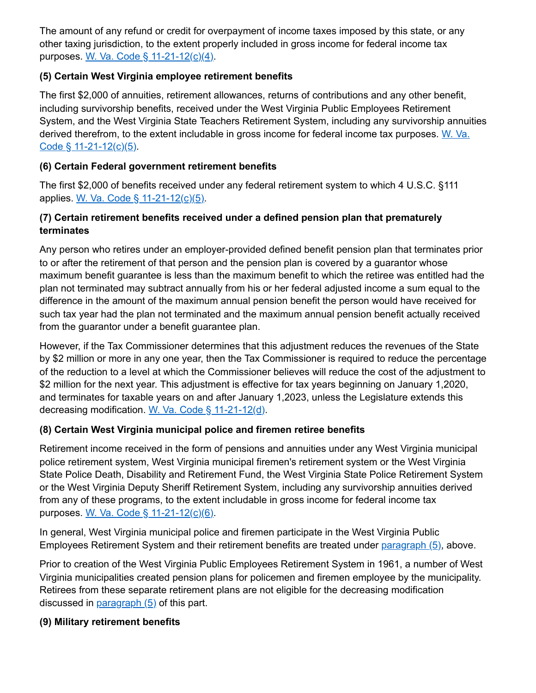The amount of any refund or credit for overpayment of income taxes imposed by this state, or any other taxing jurisdiction, to the extent properly included in gross income for federal income tax purposes. [W. Va. Code § 11-21-12\(c\)\(4\).](http://www.wvlegislature.gov/wvcode/ChapterEntire.cfm?chap=11&art=21§ion=12)

#### **(5) Certain West Virginia employee retirement benefits**

The first \$2,000 of annuities, retirement allowances, returns of contributions and any other benefit, including survivorship benefits, received under the West Virginia Public Employees Retirement System, and the West Virginia State Teachers Retirement System, including any survivorship annuities [derived therefrom, to the extent includable in gross income for federal income tax purposes.](http://www.wvlegislature.gov/wvcode/ChapterEntire.cfm?chap=11&art=21§ion=12) W. Va. Code  $\S$  11-21-12(c)(5).

#### **(6) Certain Federal government retirement benefits**

The first \$2,000 of benefits received under any federal retirement system to which 4 U.S.C. §111 applies. [W. Va. Code § 11-21-12\(c\)\(5\)](http://www.wvlegislature.gov/wvcode/ChapterEntire.cfm?chap=11&art=21§ion=12).

#### **(7) Certain retirement benefits received under a defined pension plan that prematurely terminates**

Any person who retires under an employer-provided defined benefit pension plan that terminates prior to or after the retirement of that person and the pension plan is covered by a guarantor whose maximum benefit guarantee is less than the maximum benefit to which the retiree was entitled had the plan not terminated may subtract annually from his or her federal adjusted income a sum equal to the difference in the amount of the maximum annual pension benefit the person would have received for such tax year had the plan not terminated and the maximum annual pension benefit actually received from the guarantor under a benefit guarantee plan.

However, if the Tax Commissioner determines that this adjustment reduces the revenues of the State by \$2 million or more in any one year, then the Tax Commissioner is required to reduce the percentage of the reduction to a level at which the Commissioner believes will reduce the cost of the adjustment to \$2 million for the next year. This adjustment is effective for tax years beginning on January 1,2020, and terminates for taxable years on and after January 1,2023, unless the Legislature extends this decreasing modification. [W. Va. Code § 11-21-12\(d\).](http://www.wvlegislature.gov/wvcode/ChapterEntire.cfm?chap=11&art=21§ion=12)

#### **(8) Certain West Virginia municipal police and firemen retiree benefits**

Retirement income received in the form of pensions and annuities under any West Virginia municipal police retirement system, West Virginia municipal firemen's retirement system or the West Virginia State Police Death, Disability and Retirement Fund, the West Virginia State Police Retirement System or the West Virginia Deputy Sheriff Retirement System, including any survivorship annuities derived from any of these programs, to the extent includable in gross income for federal income tax purposes. [W. Va. Code § 11-21-12\(c\)\(6\).](http://www.wvlegislature.gov/wvcode/ChapterEntire.cfm?chap=11&art=21§ion=12)

In general, West Virginia municipal police and firemen participate in the West Virginia Public Employees Retirement System and their retirement benefits are treated under [paragraph \(5\)](http://www.wvlegislature.gov/wvcode/ChapterEntire.cfm?chap=11&art=21§ion=12), above.

Prior to creation of the West Virginia Public Employees Retirement System in 1961, a number of West Virginia municipalities created pension plans for policemen and firemen employee by the municipality. Retirees from these separate retirement plans are not eligible for the decreasing modification discussed in [paragraph \(5\)](http://www.wvlegislature.gov/wvcode/ChapterEntire.cfm?chap=11&art=21§ion=12) of this part.

#### **(9) Military retirement benefits**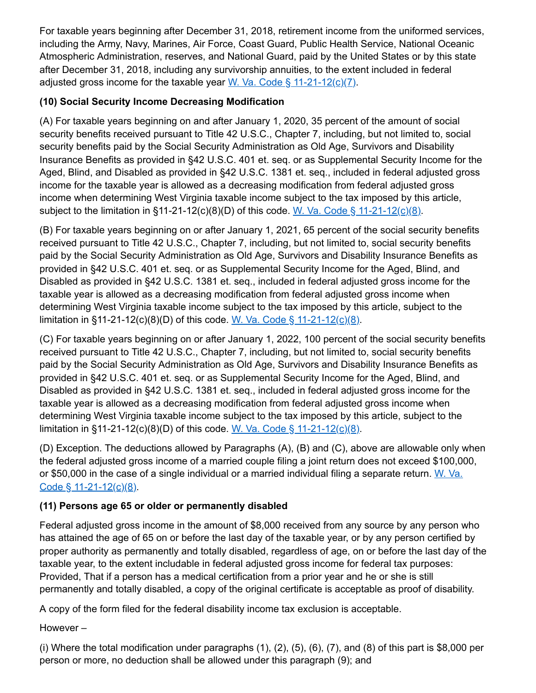For taxable years beginning after December 31, 2018, retirement income from the uniformed services, including the Army, Navy, Marines, Air Force, Coast Guard, Public Health Service, National Oceanic Atmospheric Administration, reserves, and National Guard, paid by the United States or by this state after December 31, 2018, including any survivorship annuities, to the extent included in federal adjusted gross income for the taxable year W. Va. Code  $\S$  11-21-12(c)(7).

## **(10) Social Security Income Decreasing Modification**

(A) For taxable years beginning on and after January 1, 2020, 35 percent of the amount of social security benefits received pursuant to Title 42 U.S.C., Chapter 7, including, but not limited to, social security benefits paid by the Social Security Administration as Old Age, Survivors and Disability Insurance Benefits as provided in §42 U.S.C. 401 et. seq. or as Supplemental Security Income for the Aged, Blind, and Disabled as provided in §42 U.S.C. 1381 et. seq., included in federal adjusted gross income for the taxable year is allowed as a decreasing modification from federal adjusted gross income when determining West Virginia taxable income subject to the tax imposed by this article, subject to the limitation in §11-21-12(c)(8)(D) of this code. [W. Va. Code § 11-21-12\(c\)\(8\).](http://www.wvlegislature.gov/wvcode/ChapterEntire.cfm?chap=11&art=21§ion=12)

(B) For taxable years beginning on or after January 1, 2021, 65 percent of the social security benefits received pursuant to Title 42 U.S.C., Chapter 7, including, but not limited to, social security benefits paid by the Social Security Administration as Old Age, Survivors and Disability Insurance Benefits as provided in §42 U.S.C. 401 et. seq. or as Supplemental Security Income for the Aged, Blind, and Disabled as provided in §42 U.S.C. 1381 et. seq., included in federal adjusted gross income for the taxable year is allowed as a decreasing modification from federal adjusted gross income when determining West Virginia taxable income subject to the tax imposed by this article, subject to the limitation in §11-21-12(c)(8)(D) of this code. [W. Va. Code § 11-21-12\(c\)\(8\).](http://www.wvlegislature.gov/wvcode/ChapterEntire.cfm?chap=11&art=21§ion=12)

(C) For taxable years beginning on or after January 1, 2022, 100 percent of the social security benefits received pursuant to Title 42 U.S.C., Chapter 7, including, but not limited to, social security benefits paid by the Social Security Administration as Old Age, Survivors and Disability Insurance Benefits as provided in §42 U.S.C. 401 et. seq. or as Supplemental Security Income for the Aged, Blind, and Disabled as provided in §42 U.S.C. 1381 et. seq., included in federal adjusted gross income for the taxable year is allowed as a decreasing modification from federal adjusted gross income when determining West Virginia taxable income subject to the tax imposed by this article, subject to the limitation in §11-21-12(c)(8)(D) of this code. [W. Va. Code § 11-21-12\(c\)\(8\).](http://www.wvlegislature.gov/wvcode/ChapterEntire.cfm?chap=11&art=21§ion=12)

(D) Exception. The deductions allowed by Paragraphs (A), (B) and (C), above are allowable only when the federal adjusted gross income of a married couple filing a joint return does not exceed \$100,000, [or \\$50,000 in the case of a single individual or a married individual filing a separate return.](http://www.wvlegislature.gov/wvcode/ChapterEntire.cfm?chap=11&art=21§ion=12) W. Va. Code  $§$  11-21-12(c)(8).

# **(11) Persons age 65 or older or permanently disabled**

Federal adjusted gross income in the amount of \$8,000 received from any source by any person who has attained the age of 65 on or before the last day of the taxable year, or by any person certified by proper authority as permanently and totally disabled, regardless of age, on or before the last day of the taxable year, to the extent includable in federal adjusted gross income for federal tax purposes: Provided, That if a person has a medical certification from a prior year and he or she is still permanently and totally disabled, a copy of the original certificate is acceptable as proof of disability.

A copy of the form filed for the federal disability income tax exclusion is acceptable.

However –

(i) Where the total modification under paragraphs (1), (2), (5), (6), (7), and (8) of this part is \$8,000 per person or more, no deduction shall be allowed under this paragraph (9); and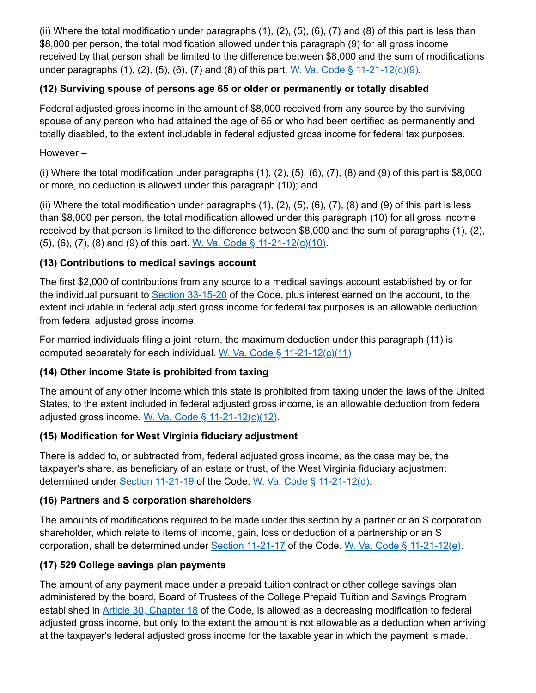(ii) Where the total modification under paragraphs (1), (2), (5), (6), (7) and (8) of this part is less than \$8,000 per person, the total modification allowed under this paragraph (9) for all gross income received by that person shall be limited to the difference between \$8,000 and the sum of modifications under paragraphs (1), (2), (5), (6), (7) and (8) of this part. W. Va. Code  $\S$  11-21-12(c)(9).

#### **(12) Surviving spouse of persons age 65 or older or permanently or totally disabled**

Federal adjusted gross income in the amount of \$8,000 received from any source by the surviving spouse of any person who had attained the age of 65 or who had been certified as permanently and totally disabled, to the extent includable in federal adjusted gross income for federal tax purposes.

However –

(i) Where the total modification under paragraphs  $(1)$ ,  $(2)$ ,  $(5)$ ,  $(6)$ ,  $(7)$ ,  $(8)$  and  $(9)$  of this part is \$8,000 or more, no deduction is allowed under this paragraph (10); and

(ii) Where the total modification under paragraphs (1), (2), (5), (6), (7), (8) and (9) of this part is less than \$8,000 per person, the total modification allowed under this paragraph (10) for all gross income received by that person is limited to the difference between \$8,000 and the sum of paragraphs (1), (2), (5), (6), (7), (8) and (9) of this part. W. Va. Code  $\S$  11-21-12(c)(10).

#### **(13) Contributions to medical savings account**

The first \$2,000 of contributions from any source to a medical savings account established by or for the individual pursuant to [Section 33-15-20](http://www.wvlegislature.gov/wvcode/chapterentire.cfm?chap=33&art=15§ion=20) of the Code, plus interest earned on the account, to the extent includable in federal adjusted gross income for federal tax purposes is an allowable deduction from federal adjusted gross income.

For married individuals filing a joint return, the maximum deduction under this paragraph (11) is computed separately for each individual. W. Va. Code  $\S$  11-21-12(c)(11)

#### **(14) Other income State is prohibited from taxing**

The amount of any other income which this state is prohibited from taxing under the laws of the United States, to the extent included in federal adjusted gross income, is an allowable deduction from federal adjusted gross income. [W. Va. Code § 11-21-12\(c\)\(12\)](http://www.wvlegislature.gov/wvcode/ChapterEntire.cfm?chap=11&art=21§ion=12).

#### **(15) Modification for West Virginia fiduciary adjustment**

There is added to, or subtracted from, federal adjusted gross income, as the case may be, the taxpayer's share, as beneficiary of an estate or trust, of the West Virginia fiduciary adjustment determined under [Section 11-21-19](http://www.wvlegislature.gov/wvcode/ChapterEntire.cfm?chap=11&art=21§ion=19) of the Code. [W. Va. Code § 11-21-12\(d\)](http://www.wvlegislature.gov/wvcode/ChapterEntire.cfm?chap=11&art=21§ion=12).

#### **(16) Partners and S corporation shareholders**

The amounts of modifications required to be made under this section by a partner or an S corporation shareholder, which relate to items of income, gain, loss or deduction of a partnership or an S corporation, shall be determined under [Section 11-21-17](http://www.wvlegislature.gov/wvcode/ChapterEntire.cfm?chap=11&art=21§ion=17) of the Code. [W. Va. Code § 11-21-12\(e\)](http://www.wvlegislature.gov/wvcode/ChapterEntire.cfm?chap=11&art=21§ion=12).

#### **(17) 529 College savings plan payments**

The amount of any payment made under a prepaid tuition contract or other college savings plan administered by the board, Board of Trustees of the College Prepaid Tuition and Savings Program established in [Article 30, Chapter 18](http://www.wvlegislature.gov/wvcode/code.cfm?chap=18&art=30) of the Code, is allowed as a decreasing modification to federal adjusted gross income, but only to the extent the amount is not allowable as a deduction when arriving at the taxpayer's federal adjusted gross income for the taxable year in which the payment is made.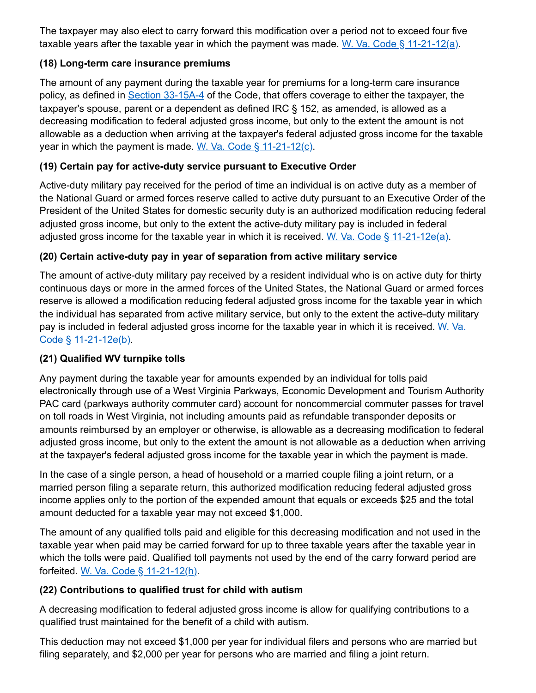The taxpayer may also elect to carry forward this modification over a period not to exceed four five taxable years after the taxable year in which the payment was made. [W. Va. Code § 11-21-12\(a\)](http://www.wvlegislature.gov/wvcode/ChapterEntire.cfm?chap=11&art=21§ion=12).

#### **(18) Long-term care insurance premiums**

The amount of any payment during the taxable year for premiums for a long-term care insurance policy, as defined in [Section 33-15A-4](http://www.wvlegislature.gov/wvcode/code.cfm?chap=33&art=15A) of the Code, that offers coverage to either the taxpayer, the taxpayer's spouse, parent or a dependent as defined IRC § 152, as amended, is allowed as a decreasing modification to federal adjusted gross income, but only to the extent the amount is not allowable as a deduction when arriving at the taxpayer's federal adjusted gross income for the taxable year in which the payment is made. W. Va. Code  $\S$  11-21-12(c).

# **(19) Certain pay for active-duty service pursuant to Executive Order**

Active-duty military pay received for the period of time an individual is on active duty as a member of the National Guard or armed forces reserve called to active duty pursuant to an Executive Order of the President of the United States for domestic security duty is an authorized modification reducing federal adjusted gross income, but only to the extent the active-duty military pay is included in federal adjusted gross income for the taxable year in which it is received. [W. Va. Code § 11-21-12e\(a\)](http://www.wvlegislature.gov/wvcode/ChapterEntire.cfm?chap=11&art=21§ion=12).

# **(20) Certain active-duty pay in year of separation from active military service**

The amount of active-duty military pay received by a resident individual who is on active duty for thirty continuous days or more in the armed forces of the United States, the National Guard or armed forces reserve is allowed a modification reducing federal adjusted gross income for the taxable year in which the individual has separated from active military service, but only to the extent the active-duty military [pay is included in federal adjusted gross income for the taxable year in which it is received.](http://www.wvlegislature.gov/wvcode/ChapterEntire.cfm?chap=11&art=21§ion=12) W. Va. Code § 11-21-12e(b).

# **(21) Qualified WV turnpike tolls**

Any payment during the taxable year for amounts expended by an individual for tolls paid electronically through use of a West Virginia Parkways, Economic Development and Tourism Authority PAC card (parkways authority commuter card) account for noncommercial commuter passes for travel on toll roads in West Virginia, not including amounts paid as refundable transponder deposits or amounts reimbursed by an employer or otherwise, is allowable as a decreasing modification to federal adjusted gross income, but only to the extent the amount is not allowable as a deduction when arriving at the taxpayer's federal adjusted gross income for the taxable year in which the payment is made.

In the case of a single person, a head of household or a married couple filing a joint return, or a married person filing a separate return, this authorized modification reducing federal adjusted gross income applies only to the portion of the expended amount that equals or exceeds \$25 and the total amount deducted for a taxable year may not exceed \$1,000.

The amount of any qualified tolls paid and eligible for this decreasing modification and not used in the taxable year when paid may be carried forward for up to three taxable years after the taxable year in which the tolls were paid. Qualified toll payments not used by the end of the carry forward period are forfeited. [W. Va. Code § 11-21-12\(h\)](http://www.wvlegislature.gov/wvcode/ChapterEntire.cfm?chap=11&art=21§ion=12).

# **(22) Contributions to qualified trust for child with autism**

A decreasing modification to federal adjusted gross income is allow for qualifying contributions to a qualified trust maintained for the benefit of a child with autism.

This deduction may not exceed \$1,000 per year for individual filers and persons who are married but filing separately, and \$2,000 per year for persons who are married and filing a joint return.